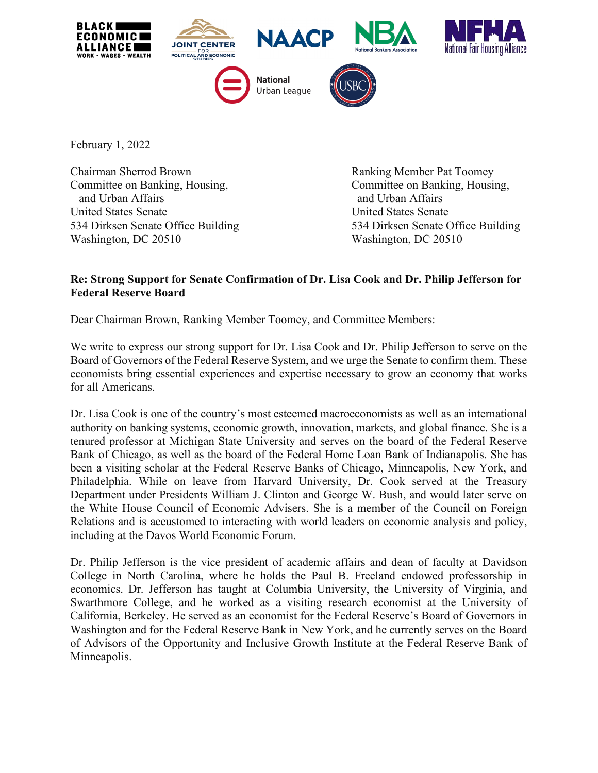

February 1, 2022

Chairman Sherrod Brown **Ranking Member Pat Toomey** Committee on Banking, Housing, Committee on Banking, Housing, and Urban Affairs **and Urban Affairs** and Urban Affairs United States Senate United States Senate Washington, DC 20510 Washington, DC 20510

534 Dirksen Senate Office Building 534 Dirksen Senate Office Building

## **Re: Strong Support for Senate Confirmation of Dr. Lisa Cook and Dr. Philip Jefferson for Federal Reserve Board**

Dear Chairman Brown, Ranking Member Toomey, and Committee Members:

We write to express our strong support for Dr. Lisa Cook and Dr. Philip Jefferson to serve on the Board of Governors of the Federal Reserve System, and we urge the Senate to confirm them. These economists bring essential experiences and expertise necessary to grow an economy that works for all Americans.

Dr. Lisa Cook is one of the country's most esteemed macroeconomists as well as an international authority on banking systems, economic growth, innovation, markets, and global finance. She is a tenured professor at Michigan State University and serves on the board of the Federal Reserve Bank of Chicago, as well as the board of the Federal Home Loan Bank of Indianapolis. She has been a visiting scholar at the Federal Reserve Banks of Chicago, Minneapolis, New York, and Philadelphia. While on leave from Harvard University, Dr. Cook served at the Treasury Department under Presidents William J. Clinton and George W. Bush, and would later serve on the White House Council of Economic Advisers. She is a member of the Council on Foreign Relations and is accustomed to interacting with world leaders on economic analysis and policy, including at the Davos World Economic Forum.

Dr. Philip Jefferson is the vice president of academic affairs and dean of faculty at Davidson College in North Carolina, where he holds the Paul B. Freeland endowed professorship in economics. Dr. Jefferson has taught at Columbia University, the University of Virginia, and Swarthmore College, and he worked as a visiting research economist at the University of California, Berkeley. He served as an economist for the Federal Reserve's Board of Governors in Washington and for the Federal Reserve Bank in New York, and he currently serves on the Board of Advisors of the Opportunity and Inclusive Growth Institute at the Federal Reserve Bank of Minneapolis.